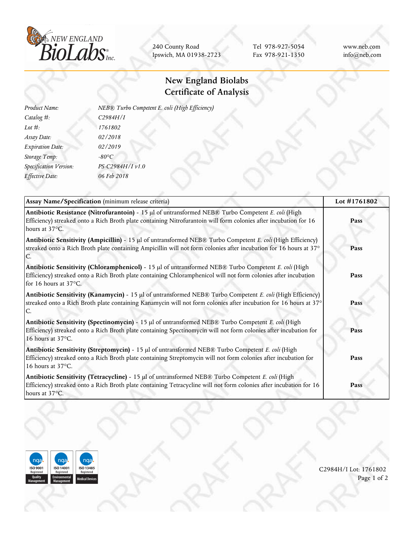

240 County Road Ipswich, MA 01938-2723

Tel 978-927-5054 Fax 978-921-1350 www.neb.com info@neb.com

## **New England Biolabs Certificate of Analysis**

| Product Name:           | NEB® Turbo Competent E. coli (High Efficiency) |  |
|-------------------------|------------------------------------------------|--|
| Catalog #:              | C2984H/I                                       |  |
| Lot $#$ :               | 1761802                                        |  |
| Assay Date:             | 02/2018                                        |  |
| <b>Expiration Date:</b> | 02/2019                                        |  |
| Storage Temp:           | $-80^{\circ}C$                                 |  |
| Specification Version:  | PS-C2984H/I v1.0                               |  |
| Effective Date:         | 06 Feb 2018                                    |  |
|                         |                                                |  |

| Assay Name/Specification (minimum release criteria)                                                                                                                                                                                              | Lot #1761802 |  |
|--------------------------------------------------------------------------------------------------------------------------------------------------------------------------------------------------------------------------------------------------|--------------|--|
| Antibiotic Resistance (Nitrofurantoin) - 15 µl of untransformed NEB® Turbo Competent E. coli (High<br>Efficiency) streaked onto a Rich Broth plate containing Nitrofurantoin will form colonies after incubation for 16<br>hours at 37°C.        | Pass         |  |
| Antibiotic Sensitivity (Ampicillin) - 15 µl of untransformed NEB® Turbo Competent E. coli (High Efficiency)<br>streaked onto a Rich Broth plate containing Ampicillin will not form colonies after incubation for 16 hours at 37°                | Pass         |  |
| Antibiotic Sensitivity (Chloramphenicol) - 15 µl of untransformed NEB® Turbo Competent E. coli (High<br>Efficiency) streaked onto a Rich Broth plate containing Chloramphenicol will not form colonies after incubation<br>for 16 hours at 37°C. | Pass         |  |
| Antibiotic Sensitivity (Kanamycin) - 15 µl of untransformed NEB® Turbo Competent E. coli (High Efficiency)<br>streaked onto a Rich Broth plate containing Kanamycin will not form colonies after incubation for 16 hours at 37°                  | Pass         |  |
| Antibiotic Sensitivity (Spectinomycin) - 15 µl of untransformed NEB® Turbo Competent E. coli (High<br>Efficiency) streaked onto a Rich Broth plate containing Spectinomycin will not form colonies after incubation for<br>16 hours at 37°C.     | Pass         |  |
| Antibiotic Sensitivity (Streptomycin) - 15 µl of untransformed NEB® Turbo Competent E. coli (High<br>Efficiency) streaked onto a Rich Broth plate containing Streptomycin will not form colonies after incubation for<br>16 hours at 37°C.       | Pass         |  |
| Antibiotic Sensitivity (Tetracycline) - 15 µl of untransformed NEB® Turbo Competent E. coli (High<br>Efficiency) streaked onto a Rich Broth plate containing Tetracycline will not form colonies after incubation for 16<br>hours at 37°C.       | Pass         |  |



C2984H/I Lot: 1761802 Page 1 of 2